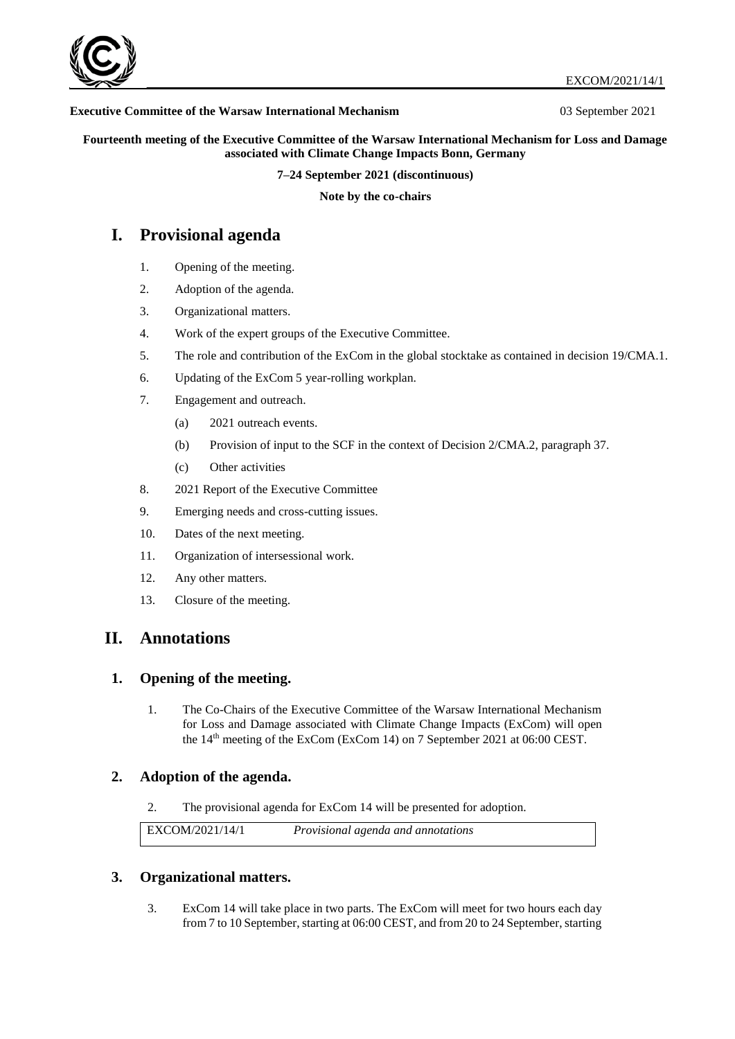

#### **Executive Committee of the Warsaw International Mechanism** 03 September 2021

**Fourteenth meeting of the Executive Committee of the Warsaw International Mechanism for Loss and Damage associated with Climate Change Impacts Bonn, Germany**

**7–24 September 2021 (discontinuous)**

**Note by the co-chairs** 

# **I. Provisional agenda**

- 1. Opening of the meeting.
- 2. Adoption of the agenda.
- 3. Organizational matters.
- 4. Work of the expert groups of the Executive Committee.
- 5. The role and contribution of the ExCom in the global stocktake as contained in decision 19/CMA.1.
- 6. Updating of the ExCom 5 year-rolling workplan.
- 7. Engagement and outreach.
	- (a) 2021 outreach events.
	- (b) Provision of input to the SCF in the context of Decision 2/CMA.2, paragraph 37.
	- (c) Other activities
- 8. 2021 Report of the Executive Committee
- 9. Emerging needs and cross-cutting issues.
- 10. Dates of the next meeting.
- 11. Organization of intersessional work.
- 12. Any other matters.
- 13. Closure of the meeting.

# **II. Annotations**

### **1. Opening of the meeting.**

1. The Co-Chairs of the Executive Committee of the Warsaw International Mechanism for Loss and Damage associated with Climate Change Impacts (ExCom) will open the 14<sup>th</sup> meeting of the ExCom (ExCom 14) on 7 September 2021 at 06:00 CEST.

## **2. Adoption of the agenda.**

2. The provisional agenda for ExCom 14 will be presented for adoption.

EXCOM/2021/14/1 *Provisional agenda and annotations* 

### **3. Organizational matters.**

3. ExCom 14 will take place in two parts. The ExCom will meet for two hours each day from 7 to 10 September, starting at 06:00 CEST, and from 20 to 24 September, starting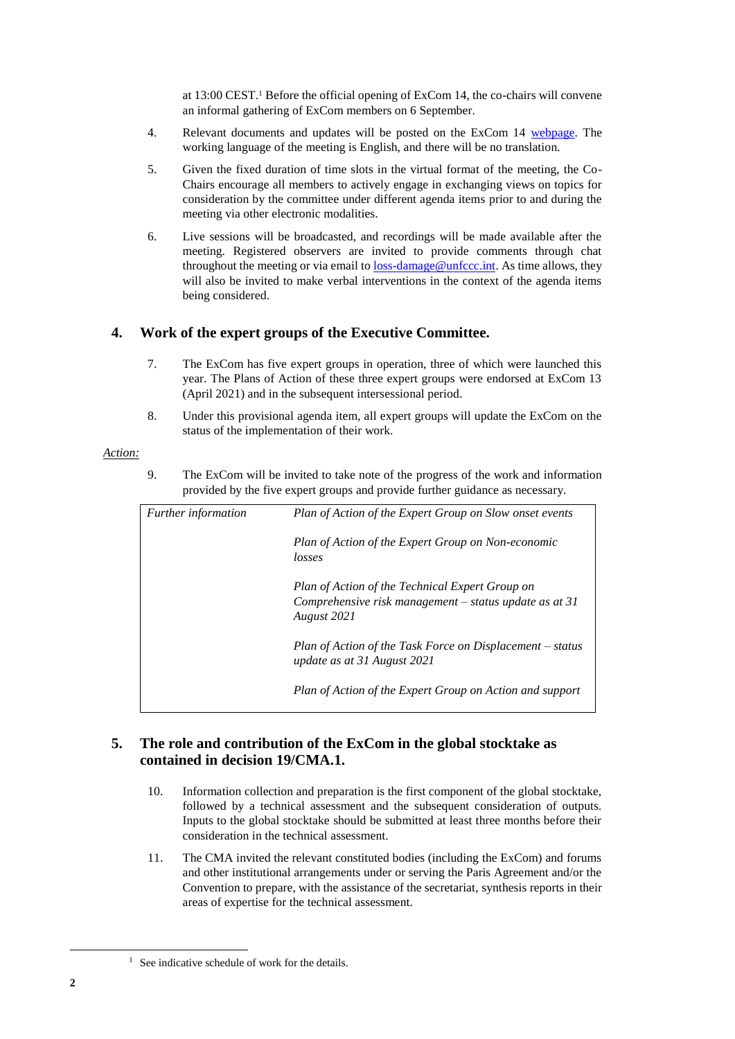at 13:00 CEST.<sup>1</sup> Before the official opening of ExCom 14, the co-chairs will convene an informal gathering of ExCom members on 6 September.

- 4. Relevant documents and updates will be posted on the ExCom 14 [webpage.](https://unfccc.int/event/WIMexcom14) The working language of the meeting is English, and there will be no translation.
- 5. Given the fixed duration of time slots in the virtual format of the meeting, the Co-Chairs encourage all members to actively engage in exchanging views on topics for consideration by the committee under different agenda items prior to and during the meeting via other electronic modalities.
- 6. Live sessions will be broadcasted, and recordings will be made available after the meeting. Registered observers are invited to provide comments through chat throughout the meeting or via email t[o loss-damage@unfccc.int.](mailto:loss-damage@unfccc.int) As time allows, they will also be invited to make verbal interventions in the context of the agenda items being considered.

## **4. Work of the expert groups of the Executive Committee.**

- 7. The ExCom has five expert groups in operation, three of which were launched this year. The Plans of Action of these three expert groups were endorsed at ExCom 13 (April 2021) and in the subsequent intersessional period.
- 8. Under this provisional agenda item, all expert groups will update the ExCom on the status of the implementation of their work.

#### *Action:*

9. The ExCom will be invited to take note of the progress of the work and information provided by the five expert groups and provide further guidance as necessary.

| <i>Further information</i> | Plan of Action of the Expert Group on Slow onset events                                                                    |
|----------------------------|----------------------------------------------------------------------------------------------------------------------------|
|                            | Plan of Action of the Expert Group on Non-economic<br>losses                                                               |
|                            | Plan of Action of the Technical Expert Group on<br>Comprehensive risk management $-$ status update as at 31<br>August 2021 |
|                            | Plan of Action of the Task Force on Displacement – status<br>update as at 31 August 2021                                   |
|                            | Plan of Action of the Expert Group on Action and support                                                                   |

# **5. The role and contribution of the ExCom in the global stocktake as contained in decision 19/CMA.1.**

- 10. Information collection and preparation is the first component of the global stocktake, followed by a technical assessment and the subsequent consideration of outputs. Inputs to the global stocktake should be submitted at least three months before their consideration in the technical assessment.
- 11. The CMA invited the relevant constituted bodies (including the ExCom) and forums and other institutional arrangements under or serving the Paris Agreement and/or the Convention to prepare, with the assistance of the secretariat, synthesis reports in their areas of expertise for the technical assessment.

-

<sup>&</sup>lt;sup>1</sup> See indicative schedule of work for the details.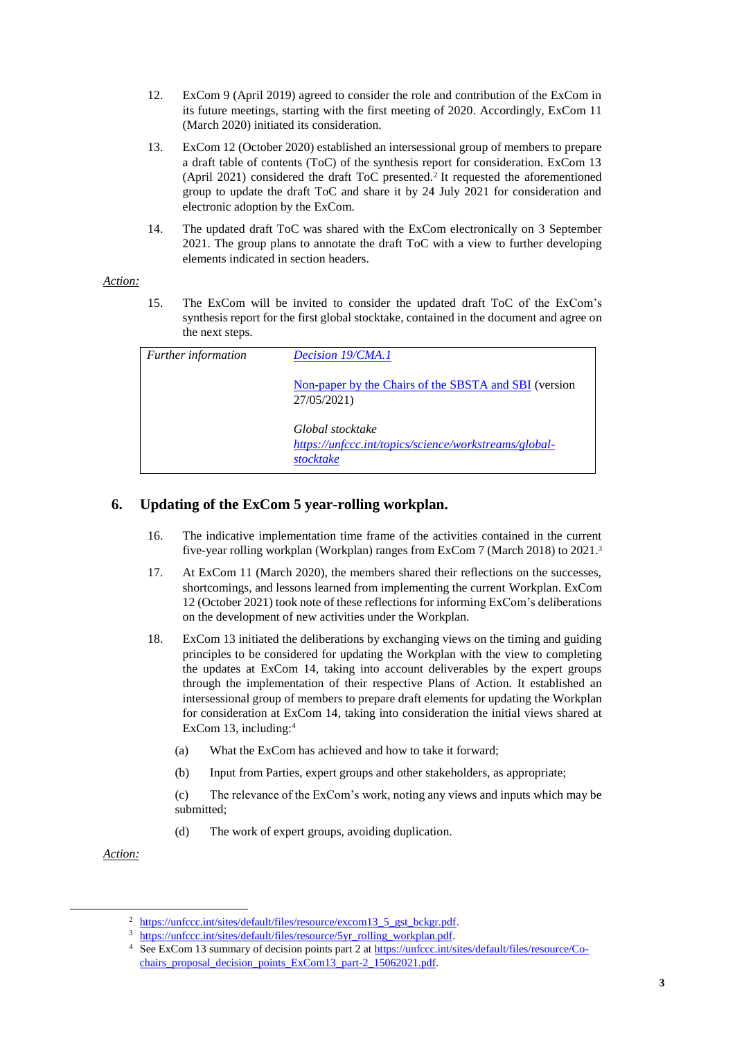- 12. ExCom 9 (April 2019) agreed to consider the role and contribution of the ExCom in its future meetings, starting with the first meeting of 2020. Accordingly, ExCom 11 (March 2020) initiated its consideration.
- 13. ExCom 12 (October 2020) established an intersessional group of members to prepare a draft table of contents (ToC) of the synthesis report for consideration. ExCom 13 (April 2021) considered the draft ToC presented.<sup>2</sup> It requested the aforementioned group to update the draft ToC and share it by 24 July 2021 for consideration and electronic adoption by the ExCom.
- 14. The updated draft ToC was shared with the ExCom electronically on 3 September 2021. The group plans to annotate the draft ToC with a view to further developing elements indicated in section headers.

#### *Action:*

15. The ExCom will be invited to consider the updated draft ToC of the ExCom's synthesis report for the first global stocktake, contained in the document and agree on the next steps.

| <b>Further information</b> | Decision 19/CMA.1                                                                      |
|----------------------------|----------------------------------------------------------------------------------------|
|                            | Non-paper by the Chairs of the SBSTA and SBI (version<br>27/05/2021)                   |
|                            | Global stocktake<br>https://unfccc.int/topics/science/workstreams/global-<br>stocktake |

# **6. Updating of the ExCom 5 year-rolling workplan.**

- 16. The indicative implementation time frame of the activities contained in the current five-year rolling workplan (Workplan) ranges from ExCom 7 (March 2018) to 2021.<sup>3</sup>
- 17. At ExCom 11 (March 2020), the members shared their reflections on the successes, shortcomings, and lessons learned from implementing the current Workplan. ExCom 12 (October 2021) took note of these reflections for informing ExCom's deliberations on the development of new activities under the Workplan.
- 18. ExCom 13 initiated the deliberations by exchanging views on the timing and guiding principles to be considered for updating the Workplan with the view to completing the updates at ExCom 14, taking into account deliverables by the expert groups through the implementation of their respective Plans of Action. It established an intersessional group of members to prepare draft elements for updating the Workplan for consideration at ExCom 14, taking into consideration the initial views shared at ExCom 13, including:<sup>4</sup>
	- (a) What the ExCom has achieved and how to take it forward;
	- (b) Input from Parties, expert groups and other stakeholders, as appropriate;
	- (c) The relevance of the ExCom's work, noting any views and inputs which may be submitted;
	- (d) The work of expert groups, avoiding duplication.

*Action:*

-

[https://unfccc.int/sites/default/files/resource/excom13\\_5\\_gst\\_bckgr.pdf.](https://unfccc.int/sites/default/files/resource/excom13_5_gst_bckgr.pdf)

[https://unfccc.int/sites/default/files/resource/5yr\\_rolling\\_workplan.pdf.](https://unfccc.int/sites/default/files/resource/5yr_rolling_workplan.pdf)

<sup>4</sup> See ExCom 13 summary of decision points part 2 a[t https://unfccc.int/sites/default/files/resource/Co](https://unfccc.int/sites/default/files/resource/Co-chairs_proposal_decision_points_ExCom13_part-2_15062021.pdf)[chairs\\_proposal\\_decision\\_points\\_ExCom13\\_part-2\\_15062021.pdf.](https://unfccc.int/sites/default/files/resource/Co-chairs_proposal_decision_points_ExCom13_part-2_15062021.pdf)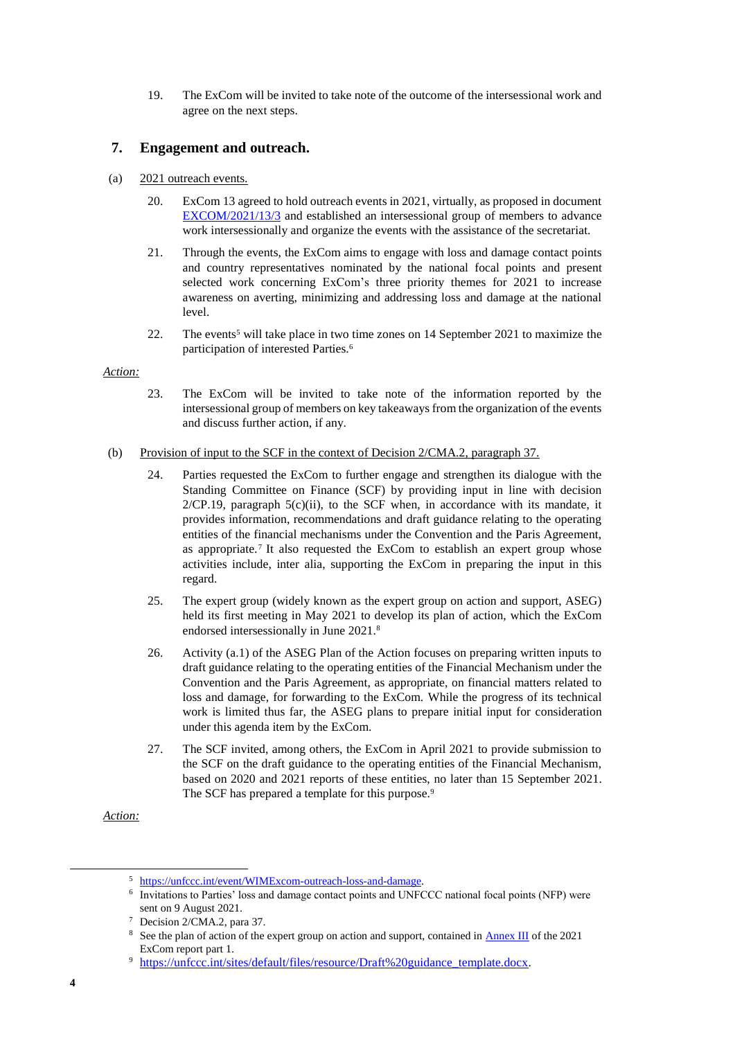19. The ExCom will be invited to take note of the outcome of the intersessional work and agree on the next steps.

## **7. Engagement and outreach.**

- (a) 2021 outreach events.
	- 20. ExCom 13 agreed to hold outreach events in 2021, virtually, as proposed in document [EXCOM/2021/13/3](https://unfccc.int/sites/default/files/resource/background_note_item_7_Outreach.pdf) and established an intersessional group of members to advance work intersessionally and organize the events with the assistance of the secretariat.
	- 21. Through the events, the ExCom aims to engage with loss and damage contact points and country representatives nominated by the national focal points and present selected work concerning ExCom's three priority themes for 2021 to increase awareness on averting, minimizing and addressing loss and damage at the national level.
	- 22. The events<sup>5</sup> will take place in two time zones on 14 September 2021 to maximize the participation of interested Parties.<sup>6</sup>

### *Action:*

- 23. The ExCom will be invited to take note of the information reported by the intersessional group of members on key takeaways from the organization of the events and discuss further action, if any.
- (b) Provision of input to the SCF in the context of Decision 2/CMA.2, paragraph 37.
	- 24. Parties requested the ExCom to further engage and strengthen its dialogue with the Standing Committee on Finance (SCF) by providing input in line with decision  $2/CP.19$ , paragraph  $5(c)(ii)$ , to the SCF when, in accordance with its mandate, it provides information, recommendations and draft guidance relating to the operating entities of the financial mechanisms under the Convention and the Paris Agreement, as appropriate.<sup>7</sup> It also requested the ExCom to establish an expert group whose activities include, inter alia, supporting the ExCom in preparing the input in this regard.
	- 25. The expert group (widely known as the expert group on action and support, ASEG) held its first meeting in May 2021 to develop its plan of action, which the ExCom endorsed intersessionally in June 2021.<sup>8</sup>
	- 26. Activity (a.1) of the ASEG Plan of the Action focuses on preparing written inputs to draft guidance relating to the operating entities of the Financial Mechanism under the Convention and the Paris Agreement, as appropriate, on financial matters related to loss and damage, for forwarding to the ExCom. While the progress of its technical work is limited thus far, the ASEG plans to prepare initial input for consideration under this agenda item by the ExCom.
	- 27. The SCF invited, among others, the ExCom in April 2021 to provide submission to the SCF on the draft guidance to the operating entities of the Financial Mechanism, based on 2020 and 2021 reports of these entities, no later than 15 September 2021. The SCF has prepared a template for this purpose.<sup>9</sup>

*Action:*

-

<sup>5</sup> [https://unfccc.int/event/WIMExcom-outreach-loss-and-damage.](https://unfccc.int/event/WIMExcom-outreach-loss-and-damage) 

<sup>6</sup> Invitations to Parties' loss and damage contact points and UNFCCC national focal points (NFP) were sent on 9 August 2021.

<sup>7</sup> Decision 2/CMA.2, para 37.

<sup>&</sup>lt;sup>8</sup> See the plan of action of the expert group on action and support, contained in **Annex III** of the 2021 ExCom report part 1.

<sup>&</sup>lt;sup>9</sup> [https://unfccc.int/sites/default/files/resource/Draft%20guidance\\_template.docx.](https://unfccc.int/sites/default/files/resource/Draft%20guidance_template.docx)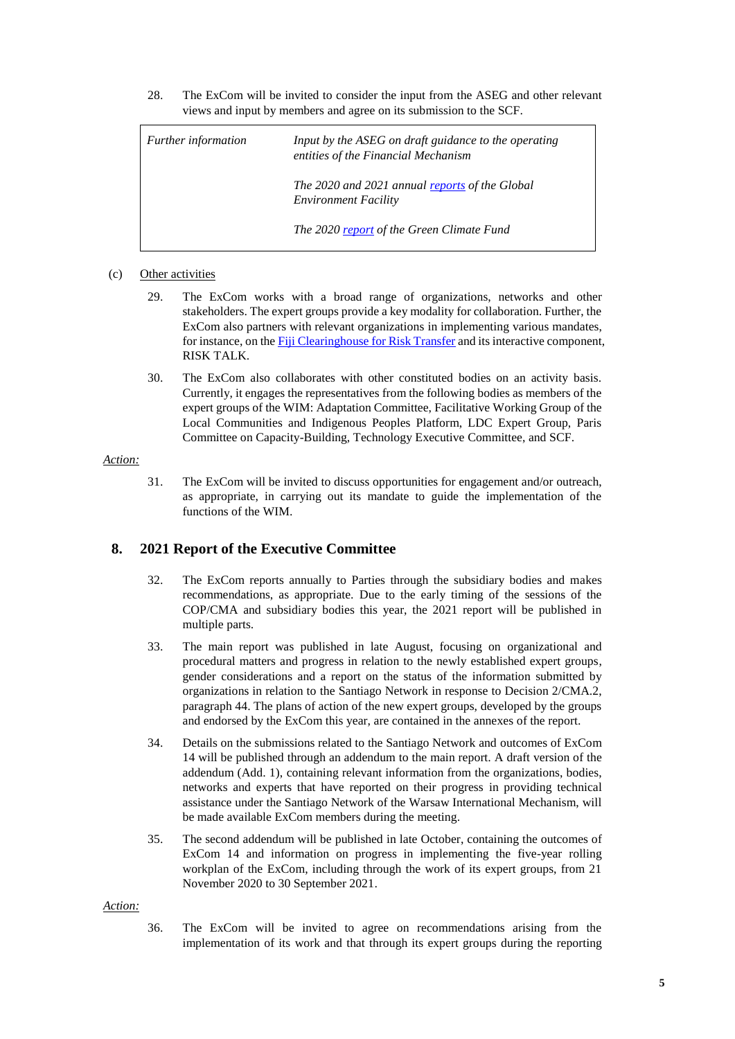28. The ExCom will be invited to consider the input from the ASEG and other relevant views and input by members and agree on its submission to the SCF.

| <i>Further information</i> | Input by the ASEG on draft guidance to the operating<br>entities of the Financial Mechanism |
|----------------------------|---------------------------------------------------------------------------------------------|
|                            | The 2020 and 2021 annual reports of the Global<br><b>Environment Facility</b>               |
|                            | The 2020 report of the Green Climate Fund                                                   |

#### (c) Other activities

- 29. The ExCom works with a broad range of organizations, networks and other stakeholders. The expert groups provide a key modality for collaboration. Further, the ExCom also partners with relevant organizations in implementing various mandates, for instance, on th[e Fiji Clearinghouse for Risk Transfer](http://unfccc-clearinghouse.org/) and its interactive component, RISK TALK.
- 30. The ExCom also collaborates with other constituted bodies on an activity basis. Currently, it engages the representatives from the following bodies as members of the expert groups of the WIM: Adaptation Committee, Facilitative Working Group of the Local Communities and Indigenous Peoples Platform, LDC Expert Group, Paris Committee on Capacity-Building, Technology Executive Committee, and SCF.

#### *Action:*

31. The ExCom will be invited to discuss opportunities for engagement and/or outreach, as appropriate, in carrying out its mandate to guide the implementation of the functions of the WIM.

## **8. 2021 Report of the Executive Committee**

- 32. The ExCom reports annually to Parties through the subsidiary bodies and makes recommendations, as appropriate. Due to the early timing of the sessions of the COP/CMA and subsidiary bodies this year, the 2021 report will be published in multiple parts.
- 33. The main report was published in late August, focusing on organizational and procedural matters and progress in relation to the newly established expert groups, gender considerations and a report on the status of the information submitted by organizations in relation to the Santiago Network in response to Decision 2/CMA.2, paragraph 44. The plans of action of the new expert groups, developed by the groups and endorsed by the ExCom this year, are contained in the annexes of the report.
- 34. Details on the submissions related to the Santiago Network and outcomes of ExCom 14 will be published through an addendum to the main report. A draft version of the addendum (Add. 1), containing relevant information from the organizations, bodies, networks and experts that have reported on their progress in providing technical assistance under the Santiago Network of the Warsaw International Mechanism, will be made available ExCom members during the meeting.
- 35. The second addendum will be published in late October, containing the outcomes of ExCom 14 and information on progress in implementing the five-year rolling workplan of the ExCom, including through the work of its expert groups, from 21 November 2020 to 30 September 2021.

#### *Action:*

36. The ExCom will be invited to agree on recommendations arising from the implementation of its work and that through its expert groups during the reporting